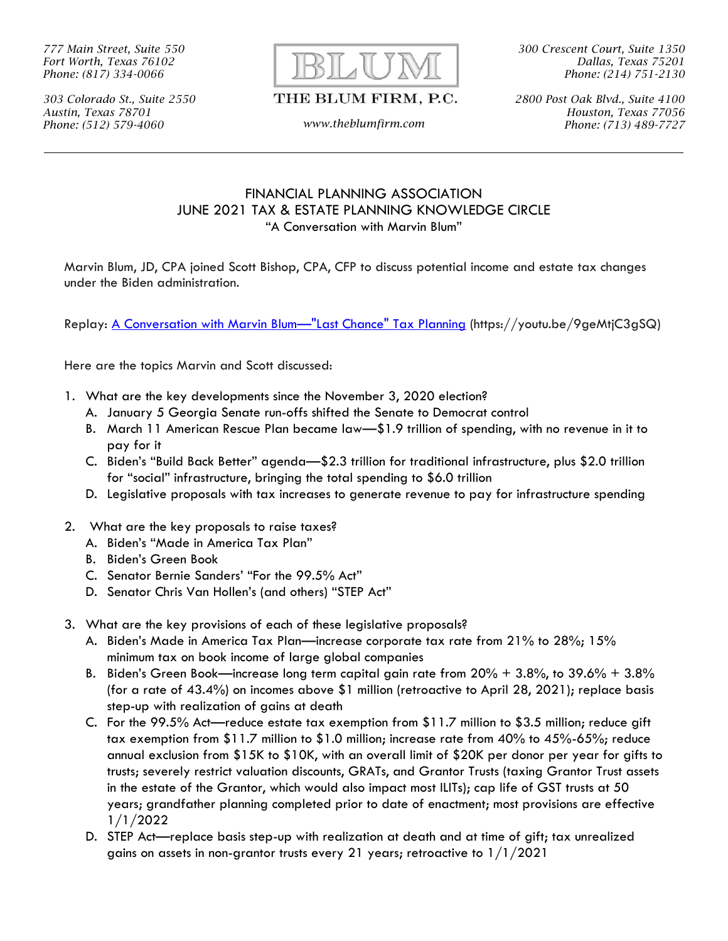*777 Main Street, Suite 550 Fort Worth, Texas 76102 Phone: (817) 334-0066*



*300 Crescent Court, Suite 1350 Dallas, Texas 75201 Phone: (214) 751-2130*

*303 Colorado St., Suite 2550 Austin, Texas 78701 Phone: (512) 579-4060 www.theblumfirm.com*

## THE BLUM FIRM, P.C.

*2800 Post Oak Blvd., Suite 4100 Houston, Texas 77056 Phone: (713) 489-7727*

## FINANCIAL PLANNING ASSOCIATION JUNE 2021 TAX & ESTATE PLANNING KNOWLEDGE CIRCLE "A Conversation with Marvin Blum"

Marvin Blum, JD, CPA joined Scott Bishop, CPA, CFP to discuss potential income and estate tax changes under the Biden administration.

Replay: <u>A Conversation with Marvin Blum—"Last Chance" Tax Planning</u> (https://youtu.be/9geMtjC3gSQ)

Here are the topics Marvin and Scott discussed:

- 1. What are the key developments since the November 3, 2020 election?
	- A. January 5 Georgia Senate run-offs shifted the Senate to Democrat control
	- B. March 11 American Rescue Plan became law—\$1.9 trillion of spending, with no revenue in it to pay for it
	- C. Biden's "Build Back Better" agenda—\$2.3 trillion for traditional infrastructure, plus \$2.0 trillion for "social" infrastructure, bringing the total spending to \$6.0 trillion
	- D. Legislative proposals with tax increases to generate revenue to pay for infrastructure spending
- 2. What are the key proposals to raise taxes?
	- A. Biden's "Made in America Tax Plan"
	- B. Biden's Green Book
	- C. Senator Bernie Sanders' "For the 99.5% Act"
	- D. Senator Chris Van Hollen's (and others) "STEP Act"
- 3. What are the key provisions of each of these legislative proposals?
	- A. Biden's Made in America Tax Plan—increase corporate tax rate from 21% to 28%; 15% minimum tax on book income of large global companies
	- B. Biden's Green Book—increase long term capital gain rate from  $20\% + 3.8\%$ , to  $39.6\% + 3.8\%$ (for a rate of 43.4%) on incomes above \$1 million (retroactive to April 28, 2021); replace basis step-up with realization of gains at death
	- C. For the 99.5% Act—reduce estate tax exemption from \$11.7 million to \$3.5 million; reduce gift tax exemption from \$11.7 million to \$1.0 million; increase rate from 40% to 45%-65%; reduce annual exclusion from \$15K to \$10K, with an overall limit of \$20K per donor per year for gifts to trusts; severely restrict valuation discounts, GRATs, and Grantor Trusts (taxing Grantor Trust assets in the estate of the Grantor, which would also impact most ILITs); cap life of GST trusts at 50 years; grandfather planning completed prior to date of enactment; most provisions are effective 1/1/2022
	- D. STEP Act—replace basis step-up with realization at death and at time of gift; tax unrealized gains on assets in non-grantor trusts every 21 years; retroactive to  $1/1/2021$